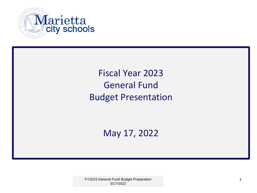

# Fiscal Year 2023 General Fund Budget Presentation

May 17, 2022

FY2023 General Fund Budget Preparation 1 and 1 and 2012 1 and 2014 1 and 2014 1 and 2014 1 and 2014 1 and 2014 1 and 2014 1 and 2014 1 and 2014 1 and 2014 1 and 2014 1 and 2014 1 and 2014 1 and 2014 1 and 2014 1 and 2014 1 5/17/2022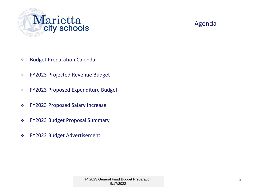

#### Agenda

- Budget Preparation Calendar
- FY2023 Projected Revenue Budget
- FY2023 Proposed Expenditure Budget
- FY2023 Proposed Salary Increase
- FY2023 Budget Proposal Summary
- FY2023 Budget Advertisement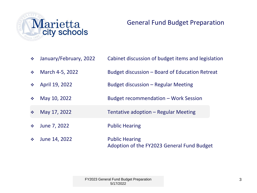

#### General Fund Budget Preparation

| $\mathcal{L}^{\text{L}}_{\text{c}}$ .                   | January/February, 2022 | Cabinet discussion of budget items and legislation                  |
|---------------------------------------------------------|------------------------|---------------------------------------------------------------------|
| $\mathcal{L}_{\mathcal{S}}^{\mathcal{S}_{\mathcal{S}}}$ | March 4-5, 2022        | Budget discussion – Board of Education Retreat                      |
| $\frac{1}{2}$                                           | April 19, 2022         | Budget discussion – Regular Meeting                                 |
| $\mathcal{L}_{\mathcal{S}^{\mathcal{S}}}$               | May 10, 2022           | Budget recommendation - Work Session                                |
| $\frac{1}{2}$                                           | May 17, 2022           | Tentative adoption – Regular Meeting                                |
| $\frac{1}{2}$                                           | June 7, 2022           | <b>Public Hearing</b>                                               |
| $\mathcal{L}_{\mathcal{S}^{\mathcal{S}}}$               | June 14, 2022          | <b>Public Hearing</b><br>Adoption of the FY2023 General Fund Budget |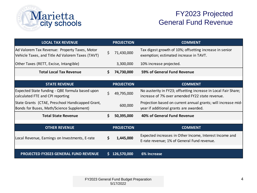

### FY2023 Projected General Fund Revenue

| <b>LOCAL TAX REVENUE</b>                                                                          |    | <b>PROJECTION</b> | <b>COMMENT</b>                                                                                                    |
|---------------------------------------------------------------------------------------------------|----|-------------------|-------------------------------------------------------------------------------------------------------------------|
| Ad Valorem Tax Revenue: Property Taxes, Motor<br>Vehicle Taxes, and Title Ad Valorem Taxes (TAVT) | \$ | 71,430,000        | Tax digest growth of 10%; offsetting increase in senior<br>exemption; estimated increase in TAVT.                 |
| Other Taxes (RETT, Excise, Intangible)                                                            |    | 3,300,000         | 10% increase projected.                                                                                           |
| <b>Total Local Tax Revenue</b>                                                                    | Ŝ. | 74,730,000        | 59% of General Fund Revenue                                                                                       |
|                                                                                                   |    |                   |                                                                                                                   |
| <b>STATE REVENUE</b>                                                                              |    | <b>PROJECTION</b> | <b>COMMENT</b>                                                                                                    |
| Expected State funding - QBE formula based upon<br>calculated FTE and CPI reporting               | \$ | 49,795,000        | No austerity in FY23; offsetting increase in Local Fair Share;<br>increase of 7% over amended FY22 state revenue. |
| State Grants (CTAE, Preschool Handicapped Grant,<br>Bonds for Buses, Math/Science Supplement)     |    | 600,000           | Projection based on current annual grants; will increase mid-<br>year if additional grants are awarded.           |
| <b>Total State Revenue</b>                                                                        | Ŝ. | 50,395,000        | 40% of General Fund Revenue                                                                                       |
| <b>OTHER REVENUE</b>                                                                              |    | <b>PROJECTION</b> | <b>COMMENT</b>                                                                                                    |
| Local Revenue, Earnings on Investments, E-rate                                                    | S. | 1,445,000         | Expected increases in Other Income, Interest Income and<br>E-rate revenue; 1% of General Fund revenue.            |
| <b>PROJECTED FY2023 GENERAL FUND REVENUE</b>                                                      | S. | 126,570,000       | 6% Increase                                                                                                       |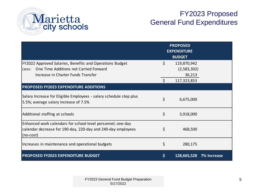

### FY2023 Proposed General Fund Expenditures

|                                                                                                                                                     |    | <b>PROPOSED</b><br><b>EXPENDITURE</b><br><b>BUDGET</b> |                    |
|-----------------------------------------------------------------------------------------------------------------------------------------------------|----|--------------------------------------------------------|--------------------|
| FY2022 Approved Salaries, Benefits and Operations Budget<br>Less: One Time Additions not Carried Forward                                            | \$ | 119,870,942<br>(2,583,302)                             |                    |
| Increase in Charter Funds Transfer                                                                                                                  |    | 36,213                                                 |                    |
|                                                                                                                                                     | Ŝ. | 117,323,853                                            |                    |
| <b>PROPOSED FY2023 EXPENDITURE ADDITIONS</b>                                                                                                        |    |                                                        |                    |
| Salary Increase for Eligible Employees - salary schedule step plus<br>5.5%; average salary increase of 7.5%                                         | \$ | 6,675,000                                              |                    |
| Additional staffing at schools                                                                                                                      | \$ | 3,918,000                                              |                    |
| Enhanced work calendars for school-level personnel; one-day<br>calendar decrease for 190-day, 220-day and 240-day employees<br>$ (no\text{-}cost) $ | \$ | 468,500                                                |                    |
| Increases in maintenance and operational budgets                                                                                                    | \$ | 280,175                                                |                    |
| <b>PROPOSED FY2023 EXPENDITURE BUDGET</b>                                                                                                           | \$ | 128,665,528                                            | <b>7% Increase</b> |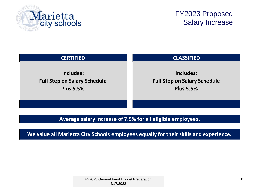

#### FY2023 Proposed Salary Increase

| <b>CERTIFIED</b>                    | <b>CLASSIFIED</b>                   |
|-------------------------------------|-------------------------------------|
| Includes:                           | Includes:                           |
| <b>Full Step on Salary Schedule</b> | <b>Full Step on Salary Schedule</b> |
| <b>Plus 5.5%</b>                    | <b>Plus 5.5%</b>                    |

#### **Average salary increase of 7.5% for all eligible employees.**

**We value all Marietta City Schools employees equally for their skills and experience.**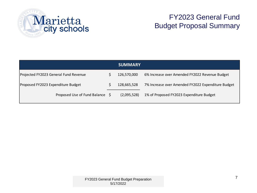

# FY2023 General Fund Budget Proposal Summary

|                                       |  | <b>SUMMARY</b> |                                                    |
|---------------------------------------|--|----------------|----------------------------------------------------|
| Projected FY2023 General Fund Revenue |  | 126,570,000    | 6% Increase over Amended FY2022 Revenue Budget     |
| Proposed FY2023 Expenditure Budget    |  | 128,665,528    | 7% Increase over Amended FY2022 Expenditure Budget |
| Proposed Use of Fund Balance \$       |  | (2,095,528)    | 1% of Proposed FY2023 Expenditure Budget           |